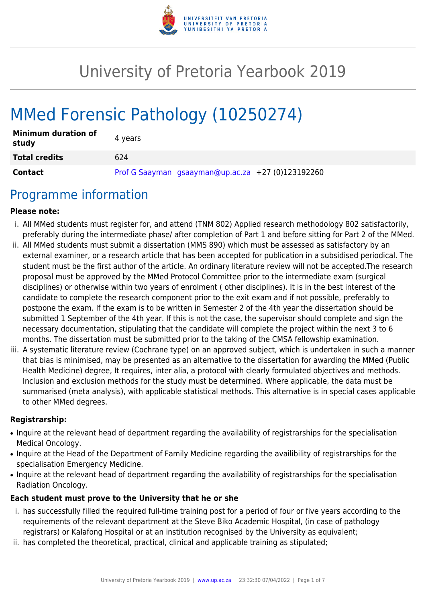

# University of Pretoria Yearbook 2019

# MMed Forensic Pathology (10250274)

| <b>Minimum duration of</b><br>study | 4 years |                                                   |  |
|-------------------------------------|---------|---------------------------------------------------|--|
| <b>Total credits</b>                | 624     |                                                   |  |
| Contact                             |         | Prof G Saayman gsaayman@up.ac.za +27 (0)123192260 |  |

### Programme information

#### **Please note:**

- i. All MMed students must register for, and attend (TNM 802) Applied research methodology 802 satisfactorily, preferably during the intermediate phase/ after completion of Part 1 and before sitting for Part 2 of the MMed.
- ii. All MMed students must submit a dissertation (MMS 890) which must be assessed as satisfactory by an external examiner, or a research article that has been accepted for publication in a subsidised periodical. The student must be the first author of the article. An ordinary literature review will not be accepted.The research proposal must be approved by the MMed Protocol Committee prior to the intermediate exam (surgical disciplines) or otherwise within two years of enrolment ( other disciplines). It is in the best interest of the candidate to complete the research component prior to the exit exam and if not possible, preferably to postpone the exam. If the exam is to be written in Semester 2 of the 4th year the dissertation should be submitted 1 September of the 4th year. If this is not the case, the supervisor should complete and sign the necessary documentation, stipulating that the candidate will complete the project within the next 3 to 6 months. The dissertation must be submitted prior to the taking of the CMSA fellowship examination.
- iii. A systematic literature review (Cochrane type) on an approved subject, which is undertaken in such a manner that bias is minimised, may be presented as an alternative to the dissertation for awarding the MMed (Public Health Medicine) degree, It requires, inter alia, a protocol with clearly formulated objectives and methods. Inclusion and exclusion methods for the study must be determined. Where applicable, the data must be summarised (meta analysis), with applicable statistical methods. This alternative is in special cases applicable to other MMed degrees.

#### **Registrarship:**

- Inquire at the relevant head of department regarding the availability of registrarships for the specialisation Medical Oncology.
- Inquire at the Head of the Department of Family Medicine regarding the availibility of registrarships for the specialisation Emergency Medicine.
- Inquire at the relevant head of department regarding the availability of registrarships for the specialisation Radiation Oncology.

#### **Each student must prove to the University that he or she**

- i. has successfully filled the required full-time training post for a period of four or five years according to the requirements of the relevant department at the Steve Biko Academic Hospital, (in case of pathology registrars) or Kalafong Hospital or at an institution recognised by the University as equivalent;
- ii. has completed the theoretical, practical, clinical and applicable training as stipulated;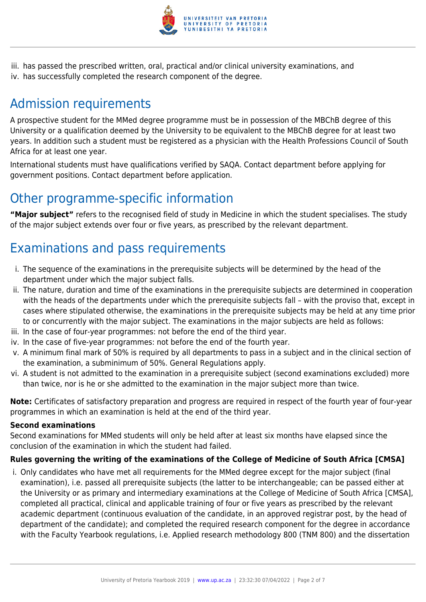

iii. has passed the prescribed written, oral, practical and/or clinical university examinations, and iv. has successfully completed the research component of the degree.

# Admission requirements

A prospective student for the MMed degree programme must be in possession of the MBChB degree of this University or a qualification deemed by the University to be equivalent to the MBChB degree for at least two years. In addition such a student must be registered as a physician with the Health Professions Council of South Africa for at least one year.

International students must have qualifications verified by SAQA. Contact department before applying for government positions. Contact department before application.

### Other programme-specific information

**"Major subject"** refers to the recognised field of study in Medicine in which the student specialises. The study of the major subject extends over four or five years, as prescribed by the relevant department.

# Examinations and pass requirements

- i. The sequence of the examinations in the prerequisite subjects will be determined by the head of the department under which the major subject falls.
- ii. The nature, duration and time of the examinations in the prerequisite subjects are determined in cooperation with the heads of the departments under which the prerequisite subjects fall – with the proviso that, except in cases where stipulated otherwise, the examinations in the prerequisite subjects may be held at any time prior to or concurrently with the major subject. The examinations in the major subjects are held as follows:
- iii. In the case of four-year programmes: not before the end of the third year.
- iv. In the case of five-year programmes: not before the end of the fourth year.
- v. A minimum final mark of 50% is required by all departments to pass in a subject and in the clinical section of the examination, a subminimum of 50%. General Regulations apply.
- vi. A student is not admitted to the examination in a prerequisite subject (second examinations excluded) more than twice, nor is he or she admitted to the examination in the major subject more than twice.

**Note:** Certificates of satisfactory preparation and progress are required in respect of the fourth year of four-year programmes in which an examination is held at the end of the third year.

#### **Second examinations**

Second examinations for MMed students will only be held after at least six months have elapsed since the conclusion of the examination in which the student had failed.

#### **Rules governing the writing of the examinations of the College of Medicine of South Africa [CMSA]**

i. Only candidates who have met all requirements for the MMed degree except for the major subject (final examination), i.e. passed all prerequisite subjects (the latter to be interchangeable; can be passed either at the University or as primary and intermediary examinations at the College of Medicine of South Africa [CMSA], completed all practical, clinical and applicable training of four or five years as prescribed by the relevant academic department (continuous evaluation of the candidate, in an approved registrar post, by the head of department of the candidate); and completed the required research component for the degree in accordance with the Faculty Yearbook regulations, i.e. Applied research methodology 800 (TNM 800) and the dissertation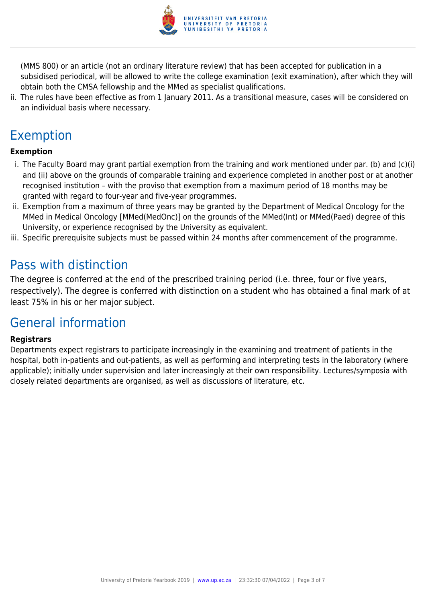

(MMS 800) or an article (not an ordinary literature review) that has been accepted for publication in a subsidised periodical, will be allowed to write the college examination (exit examination), after which they will obtain both the CMSA fellowship and the MMed as specialist qualifications.

ii. The rules have been effective as from 1 January 2011. As a transitional measure, cases will be considered on an individual basis where necessary.

# Exemption

#### **Exemption**

- i. The Faculty Board may grant partial exemption from the training and work mentioned under par. (b) and (c)(i) and (ii) above on the grounds of comparable training and experience completed in another post or at another recognised institution – with the proviso that exemption from a maximum period of 18 months may be granted with regard to four-year and five-year programmes.
- ii. Exemption from a maximum of three years may be granted by the Department of Medical Oncology for the MMed in Medical Oncology [MMed(MedOnc)] on the grounds of the MMed(Int) or MMed(Paed) degree of this University, or experience recognised by the University as equivalent.
- iii. Specific prerequisite subjects must be passed within 24 months after commencement of the programme.

### Pass with distinction

The degree is conferred at the end of the prescribed training period (i.e. three, four or five years, respectively). The degree is conferred with distinction on a student who has obtained a final mark of at least 75% in his or her major subject.

### General information

#### **Registrars**

Departments expect registrars to participate increasingly in the examining and treatment of patients in the hospital, both in-patients and out-patients, as well as performing and interpreting tests in the laboratory (where applicable); initially under supervision and later increasingly at their own responsibility. Lectures/symposia with closely related departments are organised, as well as discussions of literature, etc.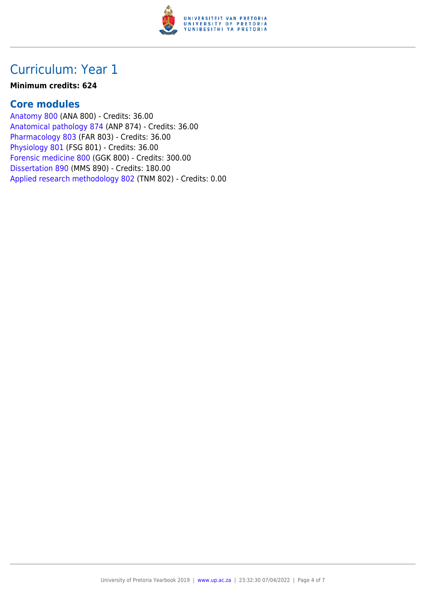

### Curriculum: Year 1

#### **Minimum credits: 624**

### **Core modules**

[Anatomy 800](https://www.up.ac.za/faculty-of-education/yearbooks/2019/modules/view/ANA 800) (ANA 800) - Credits: 36.00 [Anatomical pathology 874](https://www.up.ac.za/faculty-of-education/yearbooks/2019/modules/view/ANP 874) (ANP 874) - Credits: 36.00 [Pharmacology 803](https://www.up.ac.za/faculty-of-education/yearbooks/2019/modules/view/FAR 803) (FAR 803) - Credits: 36.00 [Physiology 801](https://www.up.ac.za/faculty-of-education/yearbooks/2019/modules/view/FSG 801) (FSG 801) - Credits: 36.00 [Forensic medicine 800](https://www.up.ac.za/faculty-of-education/yearbooks/2019/modules/view/GGK 800) (GGK 800) - Credits: 300.00 [Dissertation 890](https://www.up.ac.za/faculty-of-education/yearbooks/2019/modules/view/MMS 890) (MMS 890) - Credits: 180.00 [Applied research methodology 802](https://www.up.ac.za/faculty-of-education/yearbooks/2019/modules/view/TNM 802) (TNM 802) - Credits: 0.00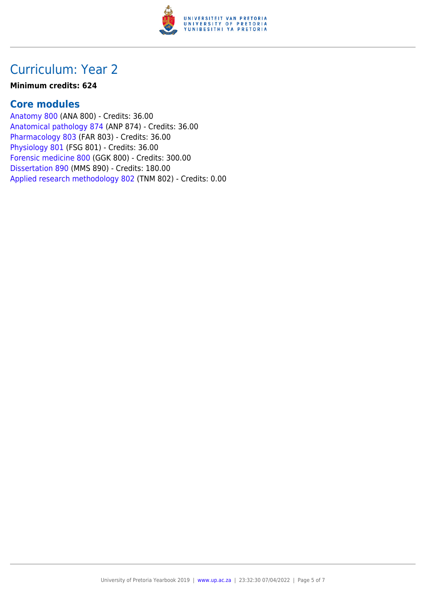

### Curriculum: Year 2

#### **Minimum credits: 624**

### **Core modules**

[Anatomy 800](https://www.up.ac.za/faculty-of-education/yearbooks/2019/modules/view/ANA 800) (ANA 800) - Credits: 36.00 [Anatomical pathology 874](https://www.up.ac.za/faculty-of-education/yearbooks/2019/modules/view/ANP 874) (ANP 874) - Credits: 36.00 [Pharmacology 803](https://www.up.ac.za/faculty-of-education/yearbooks/2019/modules/view/FAR 803) (FAR 803) - Credits: 36.00 [Physiology 801](https://www.up.ac.za/faculty-of-education/yearbooks/2019/modules/view/FSG 801) (FSG 801) - Credits: 36.00 [Forensic medicine 800](https://www.up.ac.za/faculty-of-education/yearbooks/2019/modules/view/GGK 800) (GGK 800) - Credits: 300.00 [Dissertation 890](https://www.up.ac.za/faculty-of-education/yearbooks/2019/modules/view/MMS 890) (MMS 890) - Credits: 180.00 [Applied research methodology 802](https://www.up.ac.za/faculty-of-education/yearbooks/2019/modules/view/TNM 802) (TNM 802) - Credits: 0.00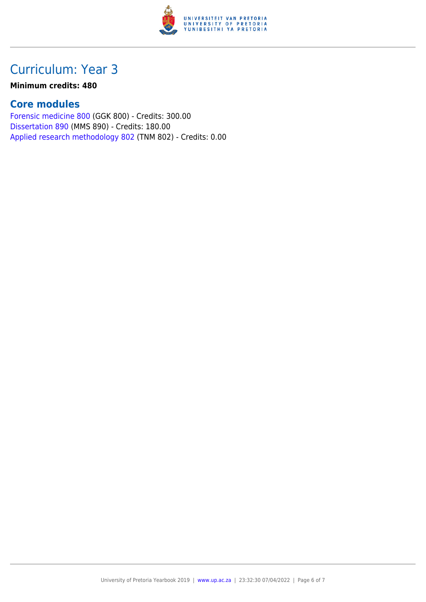

## Curriculum: Year 3

#### **Minimum credits: 480**

### **Core modules**

[Forensic medicine 800](https://www.up.ac.za/faculty-of-education/yearbooks/2019/modules/view/GGK 800) (GGK 800) - Credits: 300.00 [Dissertation 890](https://www.up.ac.za/faculty-of-education/yearbooks/2019/modules/view/MMS 890) (MMS 890) - Credits: 180.00 [Applied research methodology 802](https://www.up.ac.za/faculty-of-education/yearbooks/2019/modules/view/TNM 802) (TNM 802) - Credits: 0.00